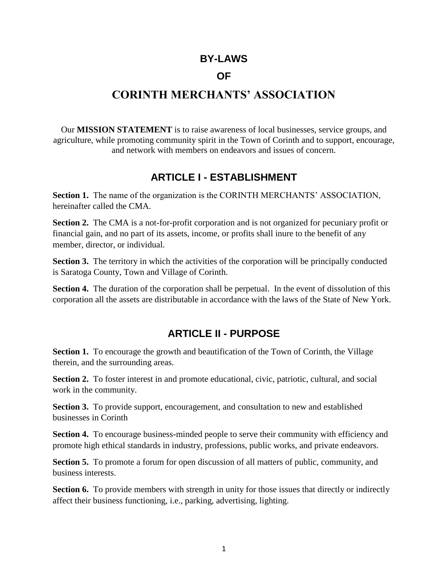### **BY-LAWS**

### **OF**

## **CORINTH MERCHANTS' ASSOCIATION**

Our **MISSION STATEMENT** is to raise awareness of local businesses, service groups, and agriculture, while promoting community spirit in the Town of Corinth and to support, encourage, and network with members on endeavors and issues of concern.

### **ARTICLE I - ESTABLISHMENT**

**Section 1.** The name of the organization is the CORINTH MERCHANTS' ASSOCIATION, hereinafter called the CMA.

**Section 2.** The CMA is a not-for-profit corporation and is not organized for pecuniary profit or financial gain, and no part of its assets, income, or profits shall inure to the benefit of any member, director, or individual.

**Section 3.** The territory in which the activities of the corporation will be principally conducted is Saratoga County, Town and Village of Corinth.

**Section 4.** The duration of the corporation shall be perpetual. In the event of dissolution of this corporation all the assets are distributable in accordance with the laws of the State of New York.

### **ARTICLE II - PURPOSE**

**Section 1.** To encourage the growth and beautification of the Town of Corinth, the Village therein, and the surrounding areas.

**Section 2.** To foster interest in and promote educational, civic, patriotic, cultural, and social work in the community.

**Section 3.** To provide support, encouragement, and consultation to new and established businesses in Corinth

**Section 4.** To encourage business-minded people to serve their community with efficiency and promote high ethical standards in industry, professions, public works, and private endeavors.

**Section 5.** To promote a forum for open discussion of all matters of public, community, and business interests.

**Section 6.** To provide members with strength in unity for those issues that directly or indirectly affect their business functioning, i.e., parking, advertising, lighting.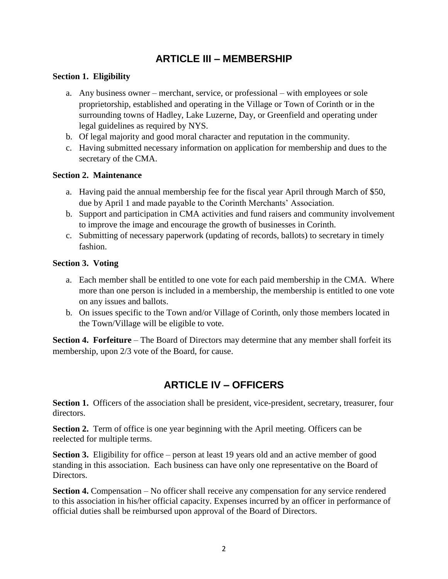### **ARTICLE III – MEMBERSHIP**

### **Section 1. Eligibility**

- a. Any business owner merchant, service, or professional with employees or sole proprietorship, established and operating in the Village or Town of Corinth or in the surrounding towns of Hadley, Lake Luzerne, Day, or Greenfield and operating under legal guidelines as required by NYS.
- b. Of legal majority and good moral character and reputation in the community.
- c. Having submitted necessary information on application for membership and dues to the secretary of the CMA.

### **Section 2. Maintenance**

- a. Having paid the annual membership fee for the fiscal year April through March of \$50, due by April 1 and made payable to the Corinth Merchants' Association.
- b. Support and participation in CMA activities and fund raisers and community involvement to improve the image and encourage the growth of businesses in Corinth.
- c. Submitting of necessary paperwork (updating of records, ballots) to secretary in timely fashion.

### **Section 3. Voting**

- a. Each member shall be entitled to one vote for each paid membership in the CMA. Where more than one person is included in a membership, the membership is entitled to one vote on any issues and ballots.
- b. On issues specific to the Town and/or Village of Corinth, only those members located in the Town/Village will be eligible to vote.

**Section 4. Forfeiture** – The Board of Directors may determine that any member shall forfeit its membership, upon 2/3 vote of the Board, for cause.

## **ARTICLE IV – OFFICERS**

**Section 1.** Officers of the association shall be president, vice-president, secretary, treasurer, four directors.

**Section 2.** Term of office is one year beginning with the April meeting. Officers can be reelected for multiple terms.

**Section 3.** Eligibility for office – person at least 19 years old and an active member of good standing in this association. Each business can have only one representative on the Board of Directors.

**Section 4.** Compensation – No officer shall receive any compensation for any service rendered to this association in his/her official capacity. Expenses incurred by an officer in performance of official duties shall be reimbursed upon approval of the Board of Directors.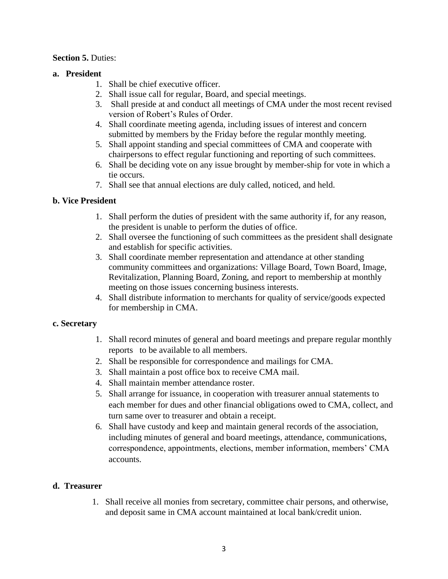### **Section 5.** Duties:

### **a. President**

- 1. Shall be chief executive officer.
- 2. Shall issue call for regular, Board, and special meetings.
- 3. Shall preside at and conduct all meetings of CMA under the most recent revised version of Robert's Rules of Order.
- 4. Shall coordinate meeting agenda, including issues of interest and concern submitted by members by the Friday before the regular monthly meeting.
- 5. Shall appoint standing and special committees of CMA and cooperate with chairpersons to effect regular functioning and reporting of such committees.
- 6. Shall be deciding vote on any issue brought by member-ship for vote in which a tie occurs.
- 7. Shall see that annual elections are duly called, noticed, and held.

### **b. Vice President**

- 1. Shall perform the duties of president with the same authority if, for any reason, the president is unable to perform the duties of office.
- 2. Shall oversee the functioning of such committees as the president shall designate and establish for specific activities.
- 3. Shall coordinate member representation and attendance at other standing community committees and organizations: Village Board, Town Board, Image, Revitalization, Planning Board, Zoning, and report to membership at monthly meeting on those issues concerning business interests.
- 4. Shall distribute information to merchants for quality of service/goods expected for membership in CMA.

### **c. Secretary**

- 1. Shall record minutes of general and board meetings and prepare regular monthly reports to be available to all members.
- 2. Shall be responsible for correspondence and mailings for CMA.
- 3. Shall maintain a post office box to receive CMA mail.
- 4. Shall maintain member attendance roster.
- 5. Shall arrange for issuance, in cooperation with treasurer annual statements to each member for dues and other financial obligations owed to CMA, collect, and turn same over to treasurer and obtain a receipt.
- 6. Shall have custody and keep and maintain general records of the association, including minutes of general and board meetings, attendance, communications, correspondence, appointments, elections, member information, members' CMA accounts.

### **d. Treasurer**

1. Shall receive all monies from secretary, committee chair persons, and otherwise, and deposit same in CMA account maintained at local bank/credit union.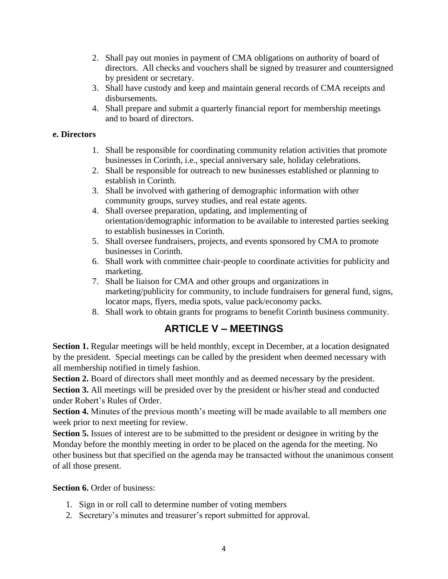- 2. Shall pay out monies in payment of CMA obligations on authority of board of directors. All checks and vouchers shall be signed by treasurer and countersigned by president or secretary.
- 3. Shall have custody and keep and maintain general records of CMA receipts and disbursements.
- 4. Shall prepare and submit a quarterly financial report for membership meetings and to board of directors.

### **e. Directors**

- 1. Shall be responsible for coordinating community relation activities that promote businesses in Corinth, i.e., special anniversary sale, holiday celebrations.
- 2. Shall be responsible for outreach to new businesses established or planning to establish in Corinth.
- 3. Shall be involved with gathering of demographic information with other community groups, survey studies, and real estate agents.
- 4. Shall oversee preparation, updating, and implementing of orientation/demographic information to be available to interested parties seeking to establish businesses in Corinth.
- 5. Shall oversee fundraisers, projects, and events sponsored by CMA to promote businesses in Corinth.
- 6. Shall work with committee chair-people to coordinate activities for publicity and marketing.
- 7. Shall be liaison for CMA and other groups and organizations in marketing/publicity for community, to include fundraisers for general fund, signs, locator maps, flyers, media spots, value pack/economy packs.
- 8. Shall work to obtain grants for programs to benefit Corinth business community.

# **ARTICLE V – MEETINGS**

**Section 1.** Regular meetings will be held monthly, except in December, at a location designated by the president. Special meetings can be called by the president when deemed necessary with all membership notified in timely fashion.

**Section 2.** Board of directors shall meet monthly and as deemed necessary by the president.

**Section 3.** All meetings will be presided over by the president or his/her stead and conducted under Robert's Rules of Order.

**Section 4.** Minutes of the previous month's meeting will be made available to all members one week prior to next meeting for review.

**Section 5.** Issues of interest are to be submitted to the president or designee in writing by the Monday before the monthly meeting in order to be placed on the agenda for the meeting. No other business but that specified on the agenda may be transacted without the unanimous consent of all those present.

**Section 6.** Order of business:

- 1. Sign in or roll call to determine number of voting members
- 2. Secretary's minutes and treasurer's report submitted for approval.